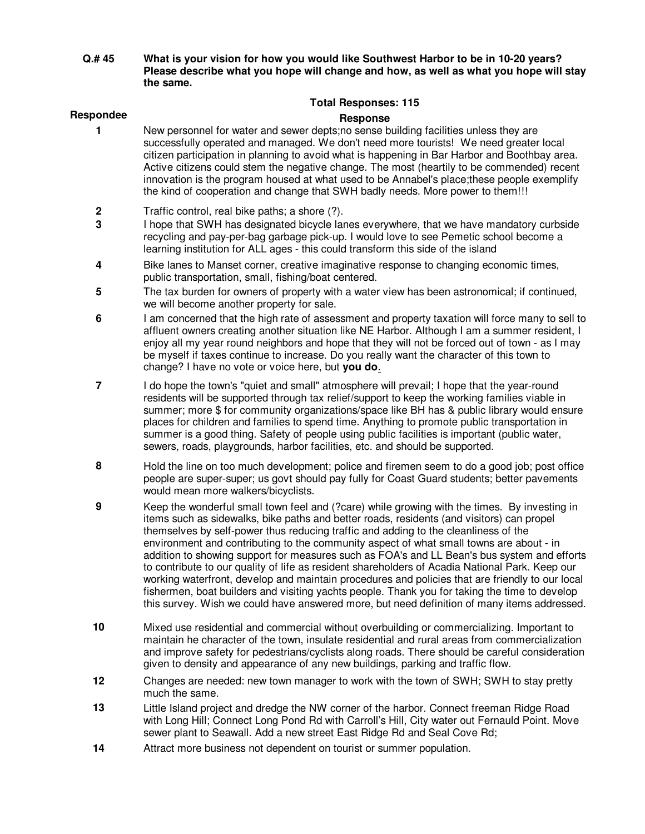**Q.# 45 What is your vision for how you would like Southwest Harbor to be in 10-20 years? Please describe what you hope will change and how, as well as what you hope will stay the same.** 

## **Total Responses: 115**

## Respondee **Response**

- **1** New personnel for water and sewer depts;no sense building facilities unless they are successfully operated and managed. We don't need more tourists! We need greater local citizen participation in planning to avoid what is happening in Bar Harbor and Boothbay area. Active citizens could stem the negative change. The most (heartily to be commended) recent innovation is the program housed at what used to be Annabel's place;these people exemplify the kind of cooperation and change that SWH badly needs. More power to them!!!
	- **2** Traffic control, real bike paths; a shore (?).
	- **3** I hope that SWH has designated bicycle lanes everywhere, that we have mandatory curbside recycling and pay-per-bag garbage pick-up. I would love to see Pemetic school become a learning institution for ALL ages - this could transform this side of the island
	- **4** Bike lanes to Manset corner, creative imaginative response to changing economic times, public transportation, small, fishing/boat centered.
	- **5** The tax burden for owners of property with a water view has been astronomical; if continued, we will become another property for sale.
	- **6** I am concerned that the high rate of assessment and property taxation will force many to sell to affluent owners creating another situation like NE Harbor. Although I am a summer resident, I enjoy all my year round neighbors and hope that they will not be forced out of town - as I may be myself if taxes continue to increase. Do you really want the character of this town to change? I have no vote or voice here, but **you do**.
	- **7** I do hope the town's "quiet and small" atmosphere will prevail; I hope that the year-round residents will be supported through tax relief/support to keep the working families viable in summer; more \$ for community organizations/space like BH has & public library would ensure places for children and families to spend time. Anything to promote public transportation in summer is a good thing. Safety of people using public facilities is important (public water, sewers, roads, playgrounds, harbor facilities, etc. and should be supported.
	- **8** Hold the line on too much development; police and firemen seem to do a good job; post office people are super-super; us govt should pay fully for Coast Guard students; better pavements would mean more walkers/bicyclists.
	- **9** Keep the wonderful small town feel and (?care) while growing with the times. By investing in items such as sidewalks, bike paths and better roads, residents (and visitors) can propel themselves by self-power thus reducing traffic and adding to the cleanliness of the environment and contributing to the community aspect of what small towns are about - in addition to showing support for measures such as FOA's and LL Bean's bus system and efforts to contribute to our quality of life as resident shareholders of Acadia National Park. Keep our working waterfront, develop and maintain procedures and policies that are friendly to our local fishermen, boat builders and visiting yachts people. Thank you for taking the time to develop this survey. Wish we could have answered more, but need definition of many items addressed.
	- **10** Mixed use residential and commercial without overbuilding or commercializing. Important to maintain he character of the town, insulate residential and rural areas from commercialization and improve safety for pedestrians/cyclists along roads. There should be careful consideration given to density and appearance of any new buildings, parking and traffic flow.
	- **12** Changes are needed: new town manager to work with the town of SWH; SWH to stay pretty much the same.
	- **13** Little Island project and dredge the NW corner of the harbor. Connect freeman Ridge Road with Long Hill; Connect Long Pond Rd with Carroll's Hill, City water out Fernauld Point. Move sewer plant to Seawall. Add a new street East Ridge Rd and Seal Cove Rd;
	- **14** Attract more business not dependent on tourist or summer population.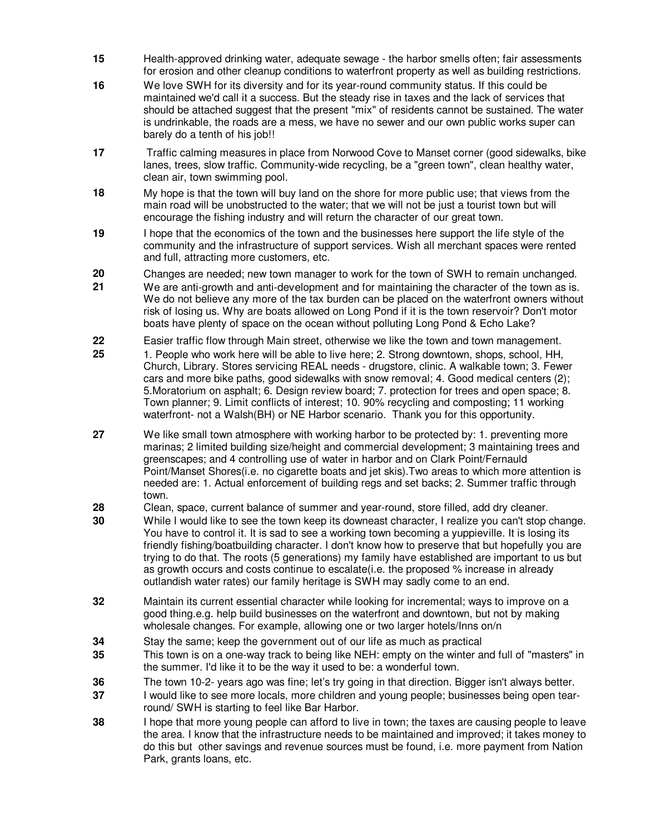- **15** Health-approved drinking water, adequate sewage the harbor smells often; fair assessments for erosion and other cleanup conditions to waterfront property as well as building restrictions.
- **16** We love SWH for its diversity and for its year-round community status. If this could be maintained we'd call it a success. But the steady rise in taxes and the lack of services that should be attached suggest that the present "mix" of residents cannot be sustained. The water is undrinkable, the roads are a mess, we have no sewer and our own public works super can barely do a tenth of his job!!
- **17** Traffic calming measures in place from Norwood Cove to Manset corner (good sidewalks, bike lanes, trees, slow traffic. Community-wide recycling, be a "green town", clean healthy water, clean air, town swimming pool.
- **18** My hope is that the town will buy land on the shore for more public use; that views from the main road will be unobstructed to the water; that we will not be just a tourist town but will encourage the fishing industry and will return the character of our great town.
- **19** I hope that the economics of the town and the businesses here support the life style of the community and the infrastructure of support services. Wish all merchant spaces were rented and full, attracting more customers, etc.
- **20** Changes are needed; new town manager to work for the town of SWH to remain unchanged.
- **21** We are anti-growth and anti-development and for maintaining the character of the town as is. We do not believe any more of the tax burden can be placed on the waterfront owners without risk of losing us. Why are boats allowed on Long Pond if it is the town reservoir? Don't motor boats have plenty of space on the ocean without polluting Long Pond & Echo Lake?
- **22** Easier traffic flow through Main street, otherwise we like the town and town management.
- **25** 1. People who work here will be able to live here; 2. Strong downtown, shops, school, HH, Church, Library. Stores servicing REAL needs - drugstore, clinic. A walkable town; 3. Fewer cars and more bike paths, good sidewalks with snow removal; 4. Good medical centers (2); 5.Moratorium on asphalt; 6. Design review board; 7. protection for trees and open space; 8. Town planner; 9. Limit conflicts of interest; 10. 90% recycling and composting; 11 working waterfront- not a Walsh(BH) or NE Harbor scenario. Thank you for this opportunity.
- **27** We like small town atmosphere with working harbor to be protected by: 1. preventing more marinas; 2 limited building size/height and commercial development; 3 maintaining trees and greenscapes; and 4 controlling use of water in harbor and on Clark Point/Fernauld Point/Manset Shores(i.e. no cigarette boats and jet skis).Two areas to which more attention is needed are: 1. Actual enforcement of building regs and set backs; 2. Summer traffic through town.
- **28** Clean, space, current balance of summer and year-round, store filled, add dry cleaner.
- **30** While I would like to see the town keep its downeast character, I realize you can't stop change. You have to control it. It is sad to see a working town becoming a yuppieville. It is losing its friendly fishing/boatbuilding character. I don't know how to preserve that but hopefully you are trying to do that. The roots (5 generations) my family have established are important to us but as growth occurs and costs continue to escalate(i.e. the proposed % increase in already outlandish water rates) our family heritage is SWH may sadly come to an end.
- **32** Maintain its current essential character while looking for incremental; ways to improve on a good thing.e.g. help build businesses on the waterfront and downtown, but not by making wholesale changes. For example, allowing one or two larger hotels/Inns on/n
- **34** Stay the same; keep the government out of our life as much as practical
- **35** This town is on a one-way track to being like NEH: empty on the winter and full of "masters" in the summer. I'd like it to be the way it used to be: a wonderful town.
- **36** The town 10-2- years ago was fine; let's try going in that direction. Bigger isn't always better.
- **37** I would like to see more locals, more children and young people; businesses being open tearround/ SWH is starting to feel like Bar Harbor.
- **38** I hope that more young people can afford to live in town; the taxes are causing people to leave the area. I know that the infrastructure needs to be maintained and improved; it takes money to do this but other savings and revenue sources must be found, i.e. more payment from Nation Park, grants loans, etc.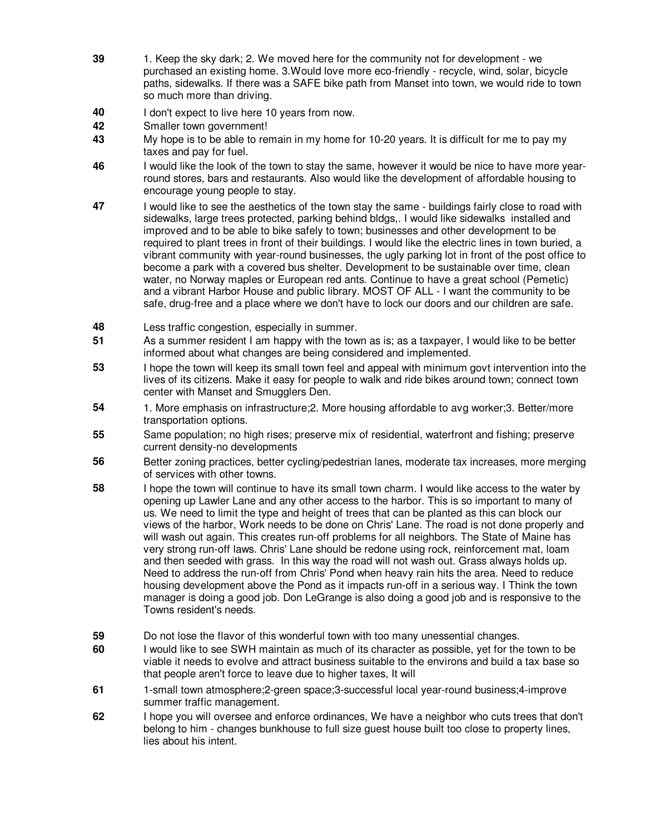- **39** 1. Keep the sky dark; 2. We moved here for the community not for development we purchased an existing home. 3.Would love more eco-friendly - recycle, wind, solar, bicycle paths, sidewalks. If there was a SAFE bike path from Manset into town, we would ride to town so much more than driving.
- **40** I don't expect to live here 10 years from now.
- **42** Smaller town government!
- **43** My hope is to be able to remain in my home for 10-20 years. It is difficult for me to pay my taxes and pay for fuel.
- **46** I would like the look of the town to stay the same, however it would be nice to have more yearround stores, bars and restaurants. Also would like the development of affordable housing to encourage young people to stay.
- **47** I would like to see the aesthetics of the town stay the same buildings fairly close to road with sidewalks, large trees protected, parking behind bldgs,. I would like sidewalks installed and improved and to be able to bike safely to town; businesses and other development to be required to plant trees in front of their buildings. I would like the electric lines in town buried, a vibrant community with year-round businesses, the ugly parking lot in front of the post office to become a park with a covered bus shelter. Development to be sustainable over time, clean water, no Norway maples or European red ants. Continue to have a great school (Pemetic) and a vibrant Harbor House and public library. MOST OF ALL - I want the community to be safe, drug-free and a place where we don't have to lock our doors and our children are safe.
- **48** Less traffic congestion, especially in summer.
- **51** As a summer resident I am happy with the town as is; as a taxpayer, I would like to be better informed about what changes are being considered and implemented.
- **53** I hope the town will keep its small town feel and appeal with minimum govt intervention into the lives of its citizens. Make it easy for people to walk and ride bikes around town; connect town center with Manset and Smugglers Den.
- **54** 1. More emphasis on infrastructure;2. More housing affordable to avg worker;3. Better/more transportation options.
- **55** Same population; no high rises; preserve mix of residential, waterfront and fishing; preserve current density-no developments
- **56** Better zoning practices, better cycling/pedestrian lanes, moderate tax increases, more merging of services with other towns.
- **58** I hope the town will continue to have its small town charm. I would like access to the water by opening up Lawler Lane and any other access to the harbor. This is so important to many of us. We need to limit the type and height of trees that can be planted as this can block our views of the harbor, Work needs to be done on Chris' Lane. The road is not done properly and will wash out again. This creates run-off problems for all neighbors. The State of Maine has very strong run-off laws. Chris' Lane should be redone using rock, reinforcement mat, loam and then seeded with grass. In this way the road will not wash out. Grass always holds up. Need to address the run-off from Chris' Pond when heavy rain hits the area. Need to reduce housing development above the Pond as it impacts run-off in a serious way. I Think the town manager is doing a good job. Don LeGrange is also doing a good job and is responsive to the Towns resident's needs.
- **59** Do not lose the flavor of this wonderful town with too many unessential changes.
- **60** I would like to see SWH maintain as much of its character as possible, yet for the town to be viable it needs to evolve and attract business suitable to the environs and build a tax base so that people aren't force to leave due to higher taxes, It will
- **61** 1-small town atmosphere;2-green space;3-successful local year-round business;4-improve summer traffic management.
- **62** I hope you will oversee and enforce ordinances, We have a neighbor who cuts trees that don't belong to him - changes bunkhouse to full size guest house built too close to property lines, lies about his intent.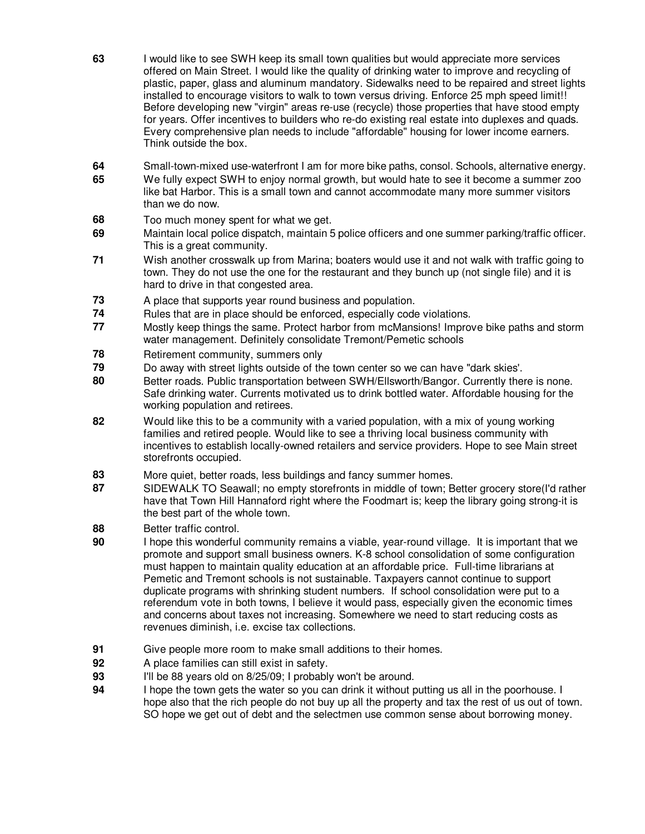- **63** I would like to see SWH keep its small town qualities but would appreciate more services offered on Main Street. I would like the quality of drinking water to improve and recycling of plastic, paper, glass and aluminum mandatory. Sidewalks need to be repaired and street lights installed to encourage visitors to walk to town versus driving. Enforce 25 mph speed limit!! Before developing new "virgin" areas re-use (recycle) those properties that have stood empty for years. Offer incentives to builders who re-do existing real estate into duplexes and quads. Every comprehensive plan needs to include "affordable" housing for lower income earners. Think outside the box.
- **64** Small-town-mixed use-waterfront I am for more bike paths, consol. Schools, alternative energy.
- **65** We fully expect SWH to enjoy normal growth, but would hate to see it become a summer zoo like bat Harbor. This is a small town and cannot accommodate many more summer visitors than we do now.
- **68** Too much money spent for what we get.
- **69** Maintain local police dispatch, maintain 5 police officers and one summer parking/traffic officer. This is a great community.
- **71** Wish another crosswalk up from Marina; boaters would use it and not walk with traffic going to town. They do not use the one for the restaurant and they bunch up (not single file) and it is hard to drive in that congested area.
- **73** A place that supports year round business and population.
- **74** Rules that are in place should be enforced, especially code violations.
- **77** Mostly keep things the same. Protect harbor from mcMansions! Improve bike paths and storm water management. Definitely consolidate Tremont/Pemetic schools
- **78 Retirement community, summers only**
- **79** Do away with street lights outside of the town center so we can have "dark skies'.
- **80** Better roads. Public transportation between SWH/Ellsworth/Bangor. Currently there is none. Safe drinking water. Currents motivated us to drink bottled water. Affordable housing for the working population and retirees.
- **82** Would like this to be a community with a varied population, with a mix of young working families and retired people. Would like to see a thriving local business community with incentives to establish locally-owned retailers and service providers. Hope to see Main street storefronts occupied.
- **83** More quiet, better roads, less buildings and fancy summer homes.
- **87** SIDEWALK TO Seawall; no empty storefronts in middle of town; Better grocery store(I'd rather have that Town Hill Hannaford right where the Foodmart is; keep the library going strong-it is the best part of the whole town.
- **88** Better traffic control.
- **90** I hope this wonderful community remains a viable, year-round village. It is important that we promote and support small business owners. K-8 school consolidation of some configuration must happen to maintain quality education at an affordable price. Full-time librarians at Pemetic and Tremont schools is not sustainable. Taxpayers cannot continue to support duplicate programs with shrinking student numbers. If school consolidation were put to a referendum vote in both towns, I believe it would pass, especially given the economic times and concerns about taxes not increasing. Somewhere we need to start reducing costs as revenues diminish, i.e. excise tax collections.
- **91** Give people more room to make small additions to their homes.
- **92** A place families can still exist in safety.
- **93** I'll be 88 years old on 8/25/09; I probably won't be around.
- **94** I hope the town gets the water so you can drink it without putting us all in the poorhouse. I hope also that the rich people do not buy up all the property and tax the rest of us out of town. SO hope we get out of debt and the selectmen use common sense about borrowing money.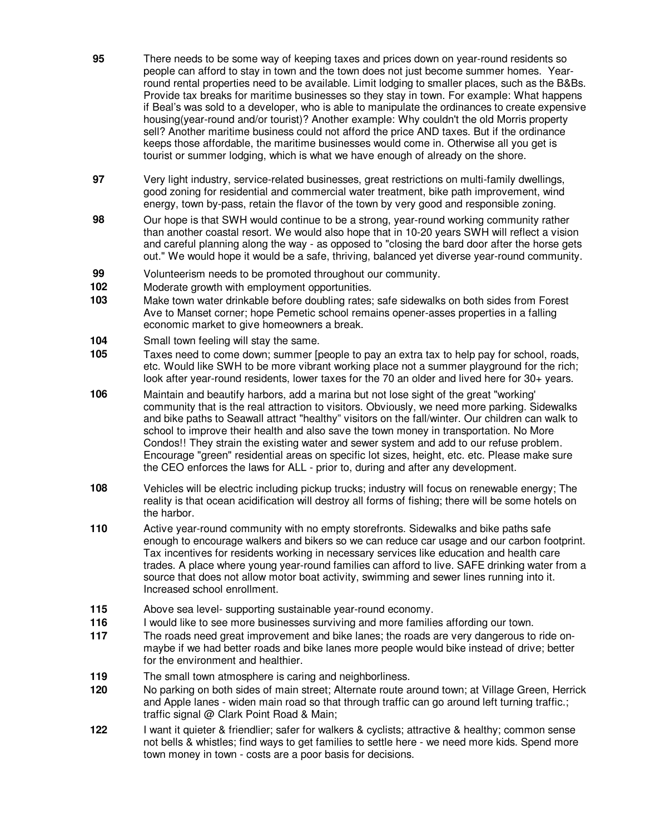- **95** There needs to be some way of keeping taxes and prices down on year-round residents so people can afford to stay in town and the town does not just become summer homes. Yearround rental properties need to be available. Limit lodging to smaller places, such as the B&Bs. Provide tax breaks for maritime businesses so they stay in town. For example: What happens if Beal's was sold to a developer, who is able to manipulate the ordinances to create expensive housing(year-round and/or tourist)? Another example: Why couldn't the old Morris property sell? Another maritime business could not afford the price AND taxes. But if the ordinance keeps those affordable, the maritime businesses would come in. Otherwise all you get is tourist or summer lodging, which is what we have enough of already on the shore.
- **97** Very light industry, service-related businesses, great restrictions on multi-family dwellings, good zoning for residential and commercial water treatment, bike path improvement, wind energy, town by-pass, retain the flavor of the town by very good and responsible zoning.
- **98** Our hope is that SWH would continue to be a strong, year-round working community rather than another coastal resort. We would also hope that in 10-20 years SWH will reflect a vision and careful planning along the way - as opposed to "closing the bard door after the horse gets out." We would hope it would be a safe, thriving, balanced yet diverse year-round community.
- **99** Volunteerism needs to be promoted throughout our community.
- **102** Moderate growth with employment opportunities.
- **103** Make town water drinkable before doubling rates; safe sidewalks on both sides from Forest Ave to Manset corner; hope Pemetic school remains opener-asses properties in a falling economic market to give homeowners a break.
- **104** Small town feeling will stay the same.
- **105** Taxes need to come down; summer [people to pay an extra tax to help pay for school, roads, etc. Would like SWH to be more vibrant working place not a summer playground for the rich; look after year-round residents, lower taxes for the 70 an older and lived here for 30+ years.
- **106** Maintain and beautify harbors, add a marina but not lose sight of the great "working' community that is the real attraction to visitors. Obviously, we need more parking. Sidewalks and bike paths to Seawall attract "healthy" visitors on the fall/winter. Our children can walk to school to improve their health and also save the town money in transportation. No More Condos!! They strain the existing water and sewer system and add to our refuse problem. Encourage "green" residential areas on specific lot sizes, height, etc. etc. Please make sure the CEO enforces the laws for ALL - prior to, during and after any development.
- **108** Vehicles will be electric including pickup trucks; industry will focus on renewable energy; The reality is that ocean acidification will destroy all forms of fishing; there will be some hotels on the harbor.
- **110** Active year-round community with no empty storefronts. Sidewalks and bike paths safe enough to encourage walkers and bikers so we can reduce car usage and our carbon footprint. Tax incentives for residents working in necessary services like education and health care trades. A place where young year-round families can afford to live. SAFE drinking water from a source that does not allow motor boat activity, swimming and sewer lines running into it. Increased school enrollment.
- **115** Above sea level- supporting sustainable year-round economy.
- **116** I would like to see more businesses surviving and more families affording our town.
- **117** The roads need great improvement and bike lanes; the roads are very dangerous to ride onmaybe if we had better roads and bike lanes more people would bike instead of drive; better for the environment and healthier.
- **119** The small town atmosphere is caring and neighborliness.
- **120** No parking on both sides of main street; Alternate route around town; at Village Green, Herrick and Apple lanes - widen main road so that through traffic can go around left turning traffic.; traffic signal @ Clark Point Road & Main;
- **122** I want it quieter & friendlier; safer for walkers & cyclists; attractive & healthy; common sense not bells & whistles; find ways to get families to settle here - we need more kids. Spend more town money in town - costs are a poor basis for decisions.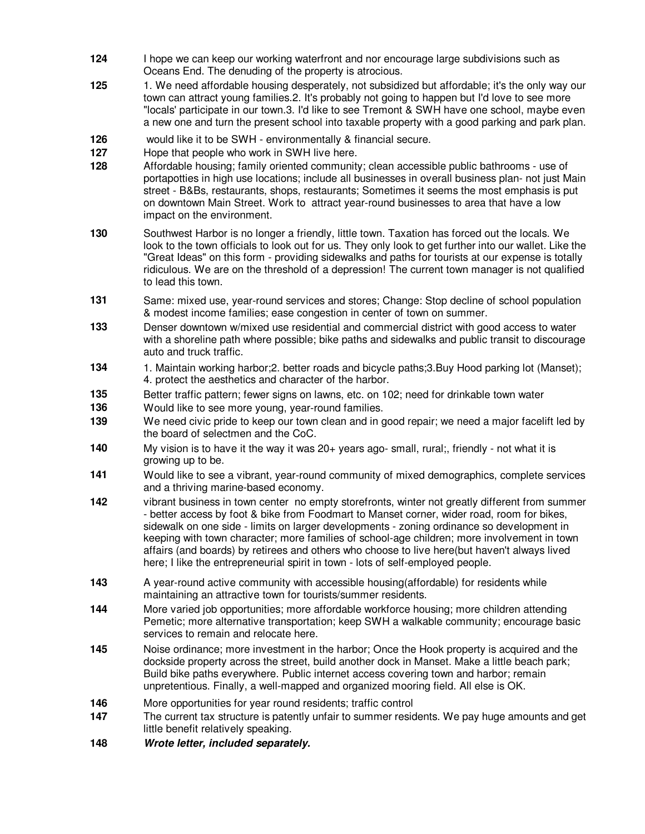- **124** I hope we can keep our working waterfront and nor encourage large subdivisions such as Oceans End. The denuding of the property is atrocious.
- **125** 1. We need affordable housing desperately, not subsidized but affordable; it's the only way our town can attract young families.2. It's probably not going to happen but I'd love to see more "locals' participate in our town.3. I'd like to see Tremont & SWH have one school, maybe even a new one and turn the present school into taxable property with a good parking and park plan.
- **126** would like it to be SWH environmentally & financial secure.
- **127** Hope that people who work in SWH live here.
- **128** Affordable housing; family oriented community; clean accessible public bathrooms use of portapotties in high use locations; include all businesses in overall business plan- not just Main street - B&Bs, restaurants, shops, restaurants; Sometimes it seems the most emphasis is put on downtown Main Street. Work to attract year-round businesses to area that have a low impact on the environment.
- **130** Southwest Harbor is no longer a friendly, little town. Taxation has forced out the locals. We look to the town officials to look out for us. They only look to get further into our wallet. Like the "Great Ideas" on this form - providing sidewalks and paths for tourists at our expense is totally ridiculous. We are on the threshold of a depression! The current town manager is not qualified to lead this town.
- **131** Same: mixed use, year-round services and stores; Change: Stop decline of school population & modest income families; ease congestion in center of town on summer.
- **133** Denser downtown w/mixed use residential and commercial district with good access to water with a shoreline path where possible; bike paths and sidewalks and public transit to discourage auto and truck traffic.
- **134** 1. Maintain working harbor;2. better roads and bicycle paths;3.Buy Hood parking lot (Manset); 4. protect the aesthetics and character of the harbor.
- **135** Better traffic pattern; fewer signs on lawns, etc. on 102; need for drinkable town water
- **136** Would like to see more young, year-round families.
- **139** We need civic pride to keep our town clean and in good repair; we need a major facelift led by the board of selectmen and the CoC.
- **140** My vision is to have it the way it was 20+ years ago- small, rural;, friendly not what it is growing up to be.
- **141** Would like to see a vibrant, year-round community of mixed demographics, complete services and a thriving marine-based economy.
- **142** vibrant business in town center no empty storefronts, winter not greatly different from summer - better access by foot & bike from Foodmart to Manset corner, wider road, room for bikes, sidewalk on one side - limits on larger developments - zoning ordinance so development in keeping with town character; more families of school-age children; more involvement in town affairs (and boards) by retirees and others who choose to live here(but haven't always lived here; I like the entrepreneurial spirit in town - lots of self-employed people.
- **143** A year-round active community with accessible housing(affordable) for residents while maintaining an attractive town for tourists/summer residents.
- **144** More varied job opportunities; more affordable workforce housing; more children attending Pemetic; more alternative transportation; keep SWH a walkable community; encourage basic services to remain and relocate here.
- **145** Noise ordinance; more investment in the harbor; Once the Hook property is acquired and the dockside property across the street, build another dock in Manset. Make a little beach park; Build bike paths everywhere. Public internet access covering town and harbor; remain unpretentious. Finally, a well-mapped and organized mooring field. All else is OK.
- **146** More opportunities for year round residents; traffic control
- **147** The current tax structure is patently unfair to summer residents. We pay huge amounts and get little benefit relatively speaking.
- **148 Wrote letter, included separately.**